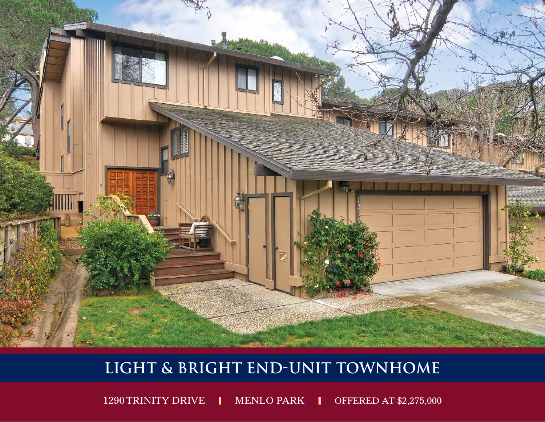

## LIGHT & BRIGHT END-UNIT TOWNHOME

1290 TRINITY DRIVE I MENLO PARK I OFFERED AT \$2,275,000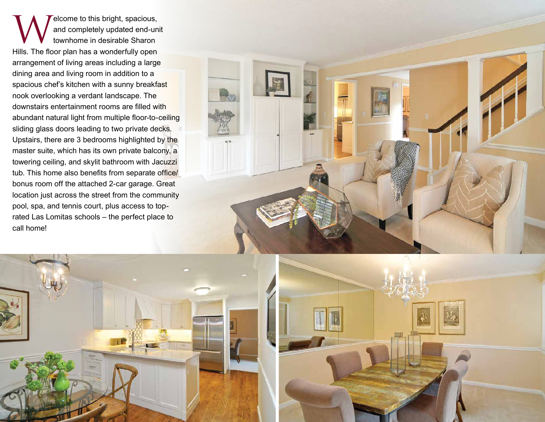Welcome to this bright, spacious,<br>and completely updated end-un<br>townhome in desirable Sharon and completely updated end-unit townhome in desirable Sharon Hills. The floor plan has a wonderfully open arrangement of living areas including a large dining area and living room in addition to a spacious chef's kitchen with a sunny breakfast nook overlooking a verdant landscape. The downstairs entertainment rooms are filled with abundant natural light from multiple floor-to-ceiling sliding glass doors leading to two private decks. Upstairs, there are 3 bedrooms highlighted by the master suite, which has its own private balcony, a towering ceiling, and skylit bathroom with Jacuzzi tub. This home also benefits from separate office/ bonus room off the attached 2-car garage. Great location just across the street from the community pool, spa, and tennis court, plus access to toprated Las Lomitas schools – the perfect place to call home!



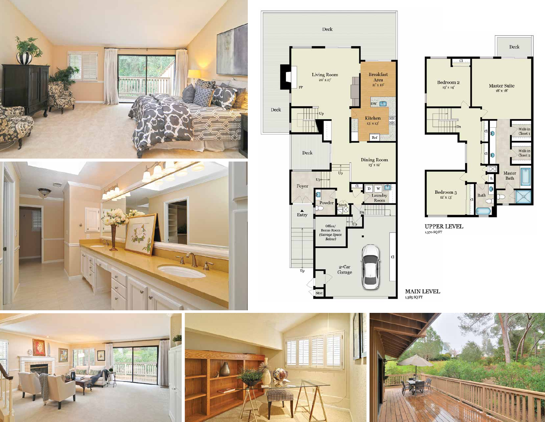







UPPER LEVEL 1,370 SQ FT

**MAIN LEVEL**  $1.385$  SQ FT